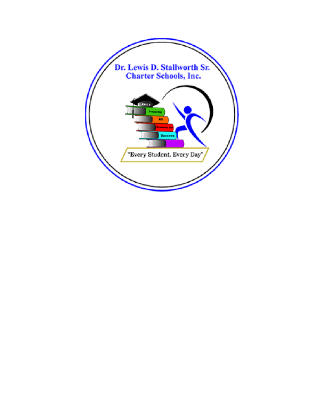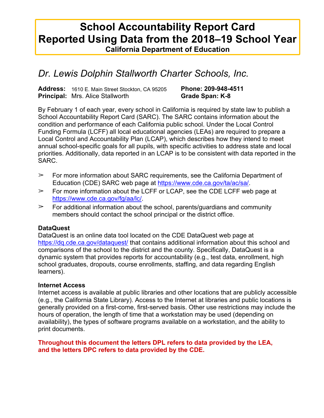# **School Accountability Report Card Reported Using Data from the 2018–19 School Year California Department of Education**

# *Dr. Lewis Dolphin Stallworth Charter Schools, Inc.*

**Address:** 1610 E. Main Street Stockton, CA 95205 **Phone: 209-948-4511 Principal:** Mrs. Alice Stallworth **Grade Span: K-8** 

By February 1 of each year, every school in California is required by state law to publish a School Accountability Report Card (SARC). The SARC contains information about the condition and performance of each California public school. Under the Local Control Funding Formula (LCFF) all local educational agencies (LEAs) are required to prepare a Local Control and Accountability Plan (LCAP), which describes how they intend to meet annual school-specific goals for all pupils, with specific activities to address state and local priorities. Additionally, data reported in an LCAP is to be consistent with data reported in the SARC.

- $\geq$  For more information about SARC requirements, see the California Department of Education (CDE) SARC web page at <https://www.cde.ca.gov/ta/ac/sa/>.
- $\geq$  For more information about the LCFF or LCAP, see the CDE LCFF web page at [https://www.cde.ca.gov/fg/aa/lc/.](https://www.cde.ca.gov/fg/aa/lc/)
- $\geq$  For additional information about the school, parents/guardians and community members should contact the school principal or the district office.

#### **DataQuest**

DataQuest is an online data tool located on the CDE DataQuest web page at <https://dq.cde.ca.gov/dataquest/> that contains additional information about this school and comparisons of the school to the district and the county. Specifically, DataQuest is a dynamic system that provides reports for accountability (e.g., test data, enrollment, high school graduates, dropouts, course enrollments, staffing, and data regarding English learners).

#### **Internet Access**

Internet access is available at public libraries and other locations that are publicly accessible (e.g., the California State Library). Access to the Internet at libraries and public locations is generally provided on a first-come, first-served basis. Other use restrictions may include the hours of operation, the length of time that a workstation may be used (depending on availability), the types of software programs available on a workstation, and the ability to print documents.

#### **Throughout this document the letters DPL refers to data provided by the LEA, and the letters DPC refers to data provided by the CDE.**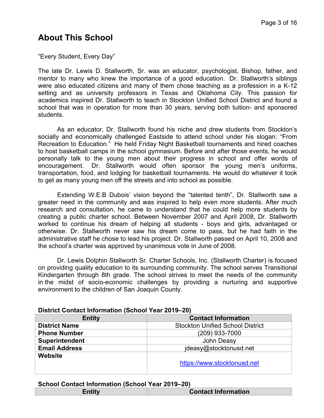# **About This School**

"Every Student, Every Day"

The late Dr. Lewis D. Stallworth, Sr. was an educator, psychologist, Bishop, father, and mentor to many who knew the importance of a good education. Dr. Stallworth's siblings were also educated citizens and many of them chose teaching as a profession in a K-12 setting and as university professors in Texas and Oklahoma City. This passion for academics inspired Dr. Stallworth to teach in Stockton Unified School District and found a school that was in operation for more than 30 years, serving both tuition- and sponsored students.

 As an educator, Dr. Stallworth found his niche and drew students from Stockton's socially and economically challenged Eastside to attend school under his slogan: "From Recreation to Education." He held Friday Night Basketball tournaments and hired coaches to host basketball camps in the school gymnasium. Before and after those events, he would personally talk to the young men about their progress in school and offer words of encouragement. Dr. Stallworth would often sponsor the young men's uniforms, transportation, food, and lodging for basketball tournaments. He would do whatever it took to get as many young men off the streets and into school as possible.

Extending W.E.B Dubois' vision beyond the "talented tenth", Dr. Stallworth saw a greater need in the community and was inspired to help even more students. After much research and consultation, he came to understand that he could help more students by creating a public charter school. Between November 2007 and April 2008, Dr. Stallworth worked to continue his dream of helping all students - boys and girls, advantaged or otherwise. Dr. Stallworth never saw his dream come to pass, but he had faith in the administrative staff he chose to lead his project. Dr. Stallworth passed on April 10, 2008 and the school's charter was approved by unanimous vote in June of 2008.

 Dr. Lewis Dolphin Stallworth Sr. Charter Schools, Inc. (Stallworth Charter) is focused on providing quality education to its surrounding community. The school serves Transitional Kindergarten through 8th grade. The school strives to meet the needs of the community in the midst of socio-economic challenges by providing a nurturing and supportive environment to the children of San Joaquin County.

#### **District Contact Information (School Year 2019–20)**

#### **School Contact Information (School Year 2019–20)**

| <b>Contact Information</b> |
|----------------------------|
|                            |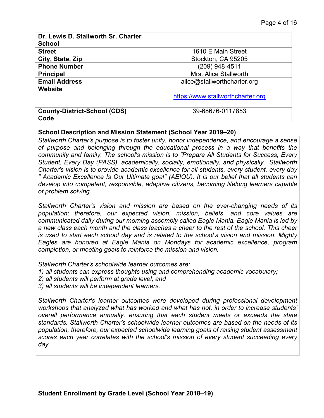| Dr. Lewis D. Stallworth Sr. Charter<br><b>School</b> |                                   |
|------------------------------------------------------|-----------------------------------|
| <b>Street</b>                                        | 1610 E Main Street                |
| City, State, Zip                                     | Stockton, CA 95205                |
| <b>Phone Number</b>                                  | (209) 948-4511                    |
| <b>Principal</b>                                     | Mrs. Alice Stallworth             |
| <b>Email Address</b>                                 | alice@stallworthcharter.org       |
| Website                                              | https://www.stallworthcharter.org |
| <b>County-District-School (CDS)</b><br>Code          | 39-68676-0117853                  |

#### **School Description and Mission Statement (School Year 2019–20)**

*Stallworth Charter's purpose is to foster unity, honor independence, and encourage a sense of purpose and belonging through the educational process in a way that benefits the community and family. The school's mission is to "Prepare All Students for Success, Every Student, Every Day (PASS), academically, socially, emotionally, and physically. Stallworth Charter's vision is to provide academic excellence for all students, every student, every day " Academic Excellence Is Our Ultimate goal" (AEIOU). It is our belief that all students can develop into competent, responsible, adaptive citizens, becoming lifelong learners capable of problem solving.*

*Stallworth Charter's vision and mission are based on the ever-changing needs of its population; therefore, our expected vision, mission, beliefs, and core values are communicated daily during our morning assembly called Eagle Mania. Eagle Mania is led by a new class each month and the class teaches a cheer to the rest of the school. This cheer is used to start each school day and is related to the school's vision and mission. Mighty Eagles are honored at Eagle Mania on Mondays for academic excellence, program completion, or meeting goals to reinforce the mission and vision.*

*Stallworth Charter's schoolwide learner outcomes are:* 

*1) all students can express thoughts using and comprehending academic vocabulary;* 

*2) all students will perform at grade level; and* 

*3) all students will be independent learners.* 

*Stallworth Charter's learner outcomes were developed during professional development workshops that analyzed what has worked and what has not, in order to increase students' overall performance annually, ensuring that each student meets or exceeds the state standards. Stallworth Charter's schoolwide learner outcomes are based on the needs of its population, therefore, our expected schoolwide learning goals of raising student assessment scores each year correlates with the school's mission of every student succeeding every day.*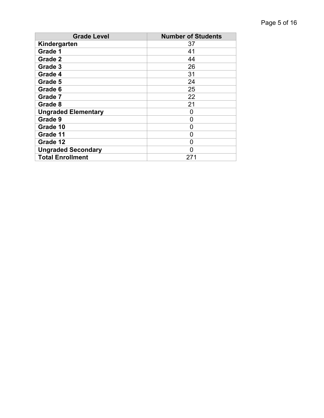| <b>Grade Level</b>         | <b>Number of Students</b> |
|----------------------------|---------------------------|
| Kindergarten               | 37                        |
| Grade 1                    | 41                        |
| Grade 2                    | 44                        |
| Grade 3                    | 26                        |
| Grade 4                    | 31                        |
| Grade 5                    | 24                        |
| Grade 6                    | 25                        |
| Grade 7                    | 22                        |
| Grade 8                    | 21                        |
| <b>Ungraded Elementary</b> | 0                         |
| Grade 9                    | 0                         |
| Grade 10                   | 0                         |
| Grade 11                   | 0                         |
| Grade 12                   | 0                         |
| <b>Ungraded Secondary</b>  | 0                         |
| <b>Total Enrollment</b>    | 271                       |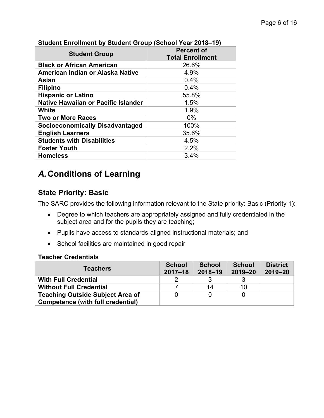| <u>UNUSIIL LIIIUIIIIEIIL DY UNUSIIL UIUUP (UUIIUUI TEAL ZUTUTTU)</u> |  |  |  |  |
|----------------------------------------------------------------------|--|--|--|--|
| <b>Percent of</b>                                                    |  |  |  |  |
| <b>Total Enrollment</b>                                              |  |  |  |  |
| 26.6%                                                                |  |  |  |  |
| 4.9%                                                                 |  |  |  |  |
| 0.4%                                                                 |  |  |  |  |
| 0.4%                                                                 |  |  |  |  |
| 55.8%                                                                |  |  |  |  |
| 1.5%                                                                 |  |  |  |  |
| 1.9%                                                                 |  |  |  |  |
| $0\%$                                                                |  |  |  |  |
| 100%                                                                 |  |  |  |  |
| 35.6%                                                                |  |  |  |  |
| 4.5%                                                                 |  |  |  |  |
| 2.2%                                                                 |  |  |  |  |
| 3.4%                                                                 |  |  |  |  |
|                                                                      |  |  |  |  |

#### **Student Enrollment by Student Group (School Year 2018–19)**

# *A.***Conditions of Learning**

## **State Priority: Basic**

The SARC provides the following information relevant to the State priority: Basic (Priority 1):

- Degree to which teachers are appropriately assigned and fully credentialed in the subject area and for the pupils they are teaching;
- Pupils have access to standards-aligned instructional materials; and
- School facilities are maintained in good repair

#### **Teacher Credentials**

| <b>Teachers</b>                         | <b>School</b><br>$2017 - 18$ | <b>School</b><br>$2018 - 19$ | <b>School</b><br>$2019 - 20$ | <b>District</b><br>$2019 - 20$ |
|-----------------------------------------|------------------------------|------------------------------|------------------------------|--------------------------------|
| <b>With Full Credential</b>             |                              |                              |                              |                                |
| <b>Without Full Credential</b>          |                              | 14                           | 10                           |                                |
| <b>Teaching Outside Subject Area of</b> |                              |                              |                              |                                |
| Competence (with full credential)       |                              |                              |                              |                                |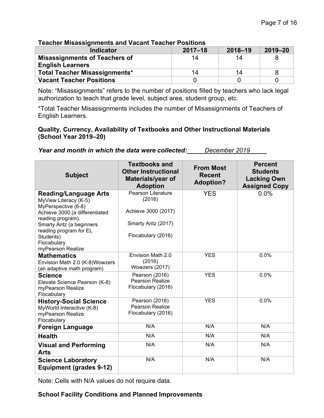| Teacher Misassignments and vacant reacher Positions |             |             |             |
|-----------------------------------------------------|-------------|-------------|-------------|
| <b>Indicator</b>                                    | $2017 - 18$ | $2018 - 19$ | $2019 - 20$ |
| <b>Misassignments of Teachers of</b>                | 14          | 14          |             |
| <b>English Learners</b>                             |             |             |             |
| <b>Total Teacher Misassignments*</b>                | 14          | 14          |             |
| <b>Vacant Teacher Positions</b>                     |             |             |             |

### **Teacher Misassignments and Vacant Teacher Positions**

Note: "Misassignments" refers to the number of positions filled by teachers who lack legal authorization to teach that grade level, subject area, student group, etc.

\*Total Teacher Misassignments includes the number of Misassignments of Teachers of English Learners.

#### **Quality, Currency, Availability of Textbooks and Other Instructional Materials (School Year 2019–20)**

| Year and month in which the data were collected: | December 2019 |
|--------------------------------------------------|---------------|
|--------------------------------------------------|---------------|

| <b>Subject</b>                                                                                                                      | <b>Textbooks and</b><br><b>Other Instructional</b><br>Materials/year of<br><b>Adoption</b> | <b>From Most</b><br><b>Recent</b><br><b>Adoption?</b> | <b>Percent</b><br><b>Students</b><br><b>Lacking Own</b><br><b>Assigned Copy</b> |
|-------------------------------------------------------------------------------------------------------------------------------------|--------------------------------------------------------------------------------------------|-------------------------------------------------------|---------------------------------------------------------------------------------|
| <b>Reading/Language Arts</b><br>MyView Literacy (K-5)<br>MyPerspective (6-8)<br>Achieve 3000 (a differentiated<br>reading program). | <b>Pearson Literature</b><br>(2016)<br>Achieve 3000 (2017)                                 | <b>YES</b>                                            | 0.0%                                                                            |
| Smarty Antz (a beginners<br>reading program for EL<br>Students)<br>Flocabulary<br>myPearson Realize                                 | Smarty Antz (2017)<br>Flocabulary (2016)                                                   |                                                       |                                                                                 |
| <b>Mathematics</b><br>Envision Math 2.0 (K-8) Wowzers<br>(an adaptive math program)                                                 | Envision Math 2.0<br>(2016)<br>Wowzers (2017)                                              | <b>YES</b>                                            | 0.0%                                                                            |
| <b>Science</b><br>Elevate Science Pearson (K-8)<br>myPearson Realize<br>Flocabulary                                                 | Pearson (2016)<br><b>Pearson Realize</b><br>Flocabulary (2016)                             | <b>YES</b>                                            | 0.0%                                                                            |
| <b>History-Social Science</b><br>MyWorld Interactive (K-8)<br>myPearson Realize<br>Flocabulary                                      | Pearson (2016)<br>Pearson Realize<br>Flocabulary (2016)                                    | <b>YES</b>                                            | 0.0%                                                                            |
| <b>Foreign Language</b>                                                                                                             | N/A                                                                                        | N/A                                                   | N/A                                                                             |
| <b>Health</b>                                                                                                                       | N/A                                                                                        | N/A                                                   | N/A                                                                             |
| <b>Visual and Performing</b><br><b>Arts</b>                                                                                         | N/A                                                                                        | N/A                                                   | N/A                                                                             |
| <b>Science Laboratory</b><br><b>Equipment (grades 9-12)</b>                                                                         | N/A                                                                                        | N/A                                                   | N/A                                                                             |

Note: Cells with N/A values do not require data.

#### **School Facility Conditions and Planned Improvements**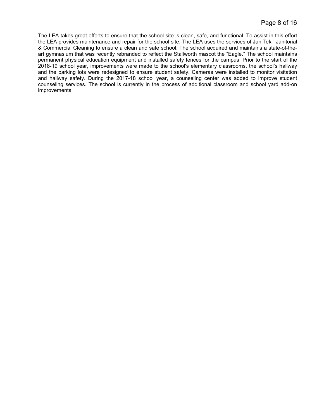The LEA takes great efforts to ensure that the school site is clean, safe, and functional. To assist in this effort the LEA provides maintenance and repair for the school site. The LEA uses the services of JaniTek –Janitorial & Commercial Cleaning to ensure a clean and safe school. The school acquired and maintains a state-of-theart gymnasium that was recently rebranded to reflect the Stallworth mascot the "Eagle." The school maintains permanent physical education equipment and installed safety fences for the campus. Prior to the start of the 2018-19 school year, improvements were made to the school's elementary classrooms, the school's hallway and the parking lots were redesigned to ensure student safety. Cameras were installed to monitor visitation and hallway safety. During the 2017-18 school year, a counseling center was added to improve student counseling services. The school is currently in the process of additional classroom and school yard add-on improvements.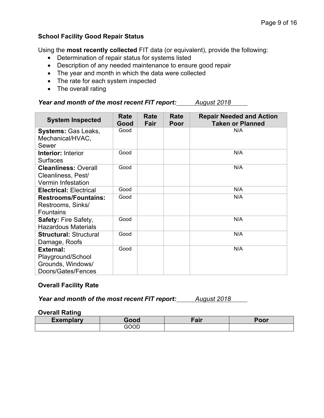#### **School Facility Good Repair Status**

Using the **most recently collected** FIT data (or equivalent), provide the following:

- Determination of repair status for systems listed
- Description of any needed maintenance to ensure good repair
- The year and month in which the data were collected
- The rate for each system inspected
- The overall rating

## *Year and month of the most recent FIT report: August 2018*

| <b>System Inspected</b>                                                          | Rate<br>Good | Rate<br>Fair | Rate<br>Poor | <b>Repair Needed and Action</b><br><b>Taken or Planned</b> |
|----------------------------------------------------------------------------------|--------------|--------------|--------------|------------------------------------------------------------|
| <b>Systems: Gas Leaks,</b><br>Mechanical/HVAC,<br>Sewer                          | Good         |              |              | N/A                                                        |
| <b>Interior: Interior</b><br><b>Surfaces</b>                                     | Good         |              |              | N/A                                                        |
| <b>Cleanliness: Overall</b><br>Cleanliness, Pest/<br><b>Vermin Infestation</b>   | Good         |              |              | N/A                                                        |
| <b>Electrical: Electrical</b>                                                    | Good         |              |              | N/A                                                        |
| <b>Restrooms/Fountains:</b><br>Restrooms, Sinks/<br><b>Fountains</b>             | Good         |              |              | N/A                                                        |
| Safety: Fire Safety,<br><b>Hazardous Materials</b>                               | Good         |              |              | N/A                                                        |
| <b>Structural: Structural</b><br>Damage, Roofs                                   | Good         |              |              | N/A                                                        |
| <b>External:</b><br>Playground/School<br>Grounds, Windows/<br>Doors/Gates/Fences | Good         |              |              | N/A                                                        |

#### **Overall Facility Rate**

*Year and month of the most recent FIT report: August 2018*

#### **Overall Rating**

| ------- |                          | oir<br>all | .<br>'OO. |
|---------|--------------------------|------------|-----------|
|         | $\sim$ $\sim$<br>10<br>. |            |           |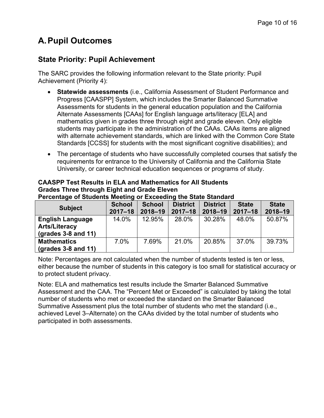# **A.Pupil Outcomes**

## **State Priority: Pupil Achievement**

The SARC provides the following information relevant to the State priority: Pupil Achievement (Priority 4):

- **Statewide assessments** (i.e., California Assessment of Student Performance and Progress [CAASPP] System, which includes the Smarter Balanced Summative Assessments for students in the general education population and the California Alternate Assessments [CAAs] for English language arts/literacy [ELA] and mathematics given in grades three through eight and grade eleven. Only eligible students may participate in the administration of the CAAs. CAAs items are aligned with alternate achievement standards, which are linked with the Common Core State Standards [CCSS] for students with the most significant cognitive disabilities); and
- The percentage of students who have successfully completed courses that satisfy the requirements for entrance to the University of California and the California State University, or career technical education sequences or programs of study.

| <b>Subject</b>              | <b>School</b> | <b>School</b> | <b>District</b> | <b>District</b> | <b>State</b> | <b>State</b> |
|-----------------------------|---------------|---------------|-----------------|-----------------|--------------|--------------|
|                             | $2017 - 18$   | $2018 - 19$   | $2017 - 18$     | $2018 - 19$     | $2017 - 18$  | $2018 - 19$  |
| <b>English Language</b>     | 14.0%         | 12.95%        | 28.0%           | 30.28%          | 48.0%        | 50.87%       |
| <b>Arts/Literacy</b>        |               |               |                 |                 |              |              |
| $\left($ grades 3-8 and 11) |               |               |                 |                 |              |              |
| <b>Mathematics</b>          | $.0\%$        | 7.69%         | 21.0%           | 20.85%          | 37.0%        | 39.73%       |
| $\left($ grades 3-8 and 11) |               |               |                 |                 |              |              |

#### **CAASPP Test Results in ELA and Mathematics for All Students Grades Three through Eight and Grade Eleven Percentage of Students Meeting or Exceeding the State Standard**

Note: Percentages are not calculated when the number of students tested is ten or less, either because the number of students in this category is too small for statistical accuracy or to protect student privacy.

Note: ELA and mathematics test results include the Smarter Balanced Summative Assessment and the CAA. The "Percent Met or Exceeded" is calculated by taking the total number of students who met or exceeded the standard on the Smarter Balanced Summative Assessment plus the total number of students who met the standard (i.e., achieved Level 3–Alternate) on the CAAs divided by the total number of students who participated in both assessments.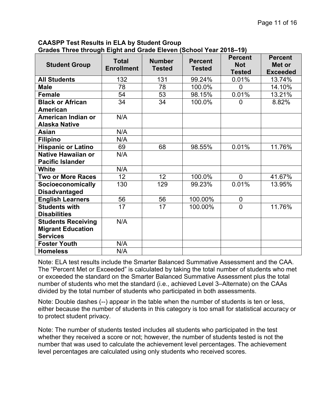**CAASPP Test Results in ELA by Student Group Grades Three through Eight and Grade Eleven (School Year 2018–19)**

| <b>Student Group</b>                                                     | <b>Total</b><br><b>Enrollment</b> | <b>Number</b><br><b>Tested</b> | <b>Percent</b><br><b>Tested</b> | <b>Percent</b><br><b>Not</b><br><b>Tested</b> | <b>Percent</b><br>Met or<br><b>Exceeded</b> |
|--------------------------------------------------------------------------|-----------------------------------|--------------------------------|---------------------------------|-----------------------------------------------|---------------------------------------------|
| <b>All Students</b>                                                      | 132                               | 131                            | 99.24%                          | 0.01%                                         | 13.74%                                      |
| <b>Male</b>                                                              | 78                                | 78                             | 100.0%                          | $\mathbf 0$                                   | 14.10%                                      |
| <b>Female</b>                                                            | 54                                | 53                             | 98.15%                          | 0.01%                                         | 13.21%                                      |
| <b>Black or African</b><br>American                                      | 34                                | 34                             | 100.0%                          | $\Omega$                                      | 8.82%                                       |
| American Indian or<br><b>Alaska Native</b>                               | N/A                               |                                |                                 |                                               |                                             |
| <b>Asian</b>                                                             | N/A                               |                                |                                 |                                               |                                             |
| <b>Filipino</b>                                                          | N/A                               |                                |                                 |                                               |                                             |
| <b>Hispanic or Latino</b>                                                | 69                                | 68                             | 98.55%                          | 0.01%                                         | 11.76%                                      |
| <b>Native Hawaiian or</b><br><b>Pacific Islander</b>                     | N/A                               |                                |                                 |                                               |                                             |
| White                                                                    | N/A                               |                                |                                 |                                               |                                             |
| <b>Two or More Races</b>                                                 | 12 <sub>2</sub>                   | 12 <sub>2</sub>                | 100.0%                          | $\Omega$                                      | 41.67%                                      |
| Socioeconomically<br><b>Disadvantaged</b>                                | 130                               | 129                            | 99.23%                          | 0.01%                                         | 13.95%                                      |
| <b>English Learners</b>                                                  | 56                                | 56                             | 100.00%                         | $\mathbf 0$                                   |                                             |
| <b>Students with</b><br><b>Disabilities</b>                              | 17                                | 17                             | 100.00%                         | $\overline{0}$                                | 11.76%                                      |
| <b>Students Receiving</b><br><b>Migrant Education</b><br><b>Services</b> | N/A                               |                                |                                 |                                               |                                             |
| <b>Foster Youth</b>                                                      | N/A                               |                                |                                 |                                               |                                             |
| <b>Homeless</b>                                                          | N/A                               |                                |                                 |                                               |                                             |

Note: ELA test results include the Smarter Balanced Summative Assessment and the CAA. The "Percent Met or Exceeded" is calculated by taking the total number of students who met or exceeded the standard on the Smarter Balanced Summative Assessment plus the total number of students who met the standard (i.e., achieved Level 3–Alternate) on the CAAs divided by the total number of students who participated in both assessments.

Note: Double dashes (--) appear in the table when the number of students is ten or less, either because the number of students in this category is too small for statistical accuracy or to protect student privacy.

Note: The number of students tested includes all students who participated in the test whether they received a score or not; however, the number of students tested is not the number that was used to calculate the achievement level percentages. The achievement level percentages are calculated using only students who received scores.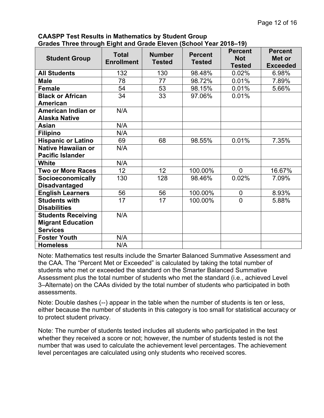**CAASPP Test Results in Mathematics by Student Group Grades Three through Eight and Grade Eleven (School Year 2018–19)**

| <b>Student Group</b>      | <b>Total</b><br><b>Enrollment</b> | <b>Number</b><br><b>Tested</b> | <b>Percent</b><br><b>Tested</b> | <b>Percent</b><br><b>Not</b><br><b>Tested</b> | <b>Percent</b><br>Met or<br><b>Exceeded</b> |
|---------------------------|-----------------------------------|--------------------------------|---------------------------------|-----------------------------------------------|---------------------------------------------|
| <b>All Students</b>       | 132                               | 130                            | 98.48%                          | 0.02%                                         | 6.98%                                       |
| <b>Male</b>               | 78                                | 77                             | 98.72%                          | 0.01%                                         | 7.89%                                       |
| Female                    | 54                                | 53                             | 98.15%                          | 0.01%                                         | 5.66%                                       |
| <b>Black or African</b>   | 34                                | 33                             | 97.06%                          | 0.01%                                         |                                             |
| American                  |                                   |                                |                                 |                                               |                                             |
| American Indian or        | N/A                               |                                |                                 |                                               |                                             |
| <b>Alaska Native</b>      |                                   |                                |                                 |                                               |                                             |
| Asian                     | N/A                               |                                |                                 |                                               |                                             |
| <b>Filipino</b>           | N/A                               |                                |                                 |                                               |                                             |
| <b>Hispanic or Latino</b> | 69                                | 68                             | 98.55%                          | 0.01%                                         | 7.35%                                       |
| <b>Native Hawaiian or</b> | N/A                               |                                |                                 |                                               |                                             |
| <b>Pacific Islander</b>   |                                   |                                |                                 |                                               |                                             |
| <b>White</b>              | N/A                               |                                |                                 |                                               |                                             |
| <b>Two or More Races</b>  | 12                                | 12 <sub>2</sub>                | 100.00%                         | $\mathbf 0$                                   | 16.67%                                      |
| Socioeconomically         | 130                               | 128                            | 98.46%                          | 0.02%                                         | 7.09%                                       |
| <b>Disadvantaged</b>      |                                   |                                |                                 |                                               |                                             |
| <b>English Learners</b>   | 56                                | 56                             | 100.00%                         | $\pmb{0}$                                     | 8.93%                                       |
| <b>Students with</b>      | 17                                | 17                             | 100.00%                         | $\overline{0}$                                | 5.88%                                       |
| <b>Disabilities</b>       |                                   |                                |                                 |                                               |                                             |
| <b>Students Receiving</b> | N/A                               |                                |                                 |                                               |                                             |
| <b>Migrant Education</b>  |                                   |                                |                                 |                                               |                                             |
| <b>Services</b>           |                                   |                                |                                 |                                               |                                             |
| <b>Foster Youth</b>       | N/A                               |                                |                                 |                                               |                                             |
| <b>Homeless</b>           | N/A                               |                                |                                 |                                               |                                             |

Note: Mathematics test results include the Smarter Balanced Summative Assessment and the CAA. The "Percent Met or Exceeded" is calculated by taking the total number of students who met or exceeded the standard on the Smarter Balanced Summative Assessment plus the total number of students who met the standard (i.e., achieved Level 3–Alternate) on the CAAs divided by the total number of students who participated in both assessments.

Note: Double dashes (--) appear in the table when the number of students is ten or less, either because the number of students in this category is too small for statistical accuracy or to protect student privacy.

Note: The number of students tested includes all students who participated in the test whether they received a score or not; however, the number of students tested is not the number that was used to calculate the achievement level percentages. The achievement level percentages are calculated using only students who received scores.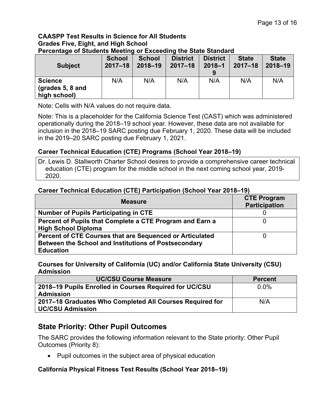#### **CAASPP Test Results in Science for All Students Grades Five, Eight, and High School Percentage of Students Meeting or Exceeding the State Standard**

| <b>Subject</b>                   | <b>School</b><br>$2017 - 18$ | <b>School</b><br>$2018 - 19$ | <b>District</b><br>$2017 - 18$ | <b>District</b><br>$2018 - 1$<br>9 | <b>State</b><br>$2017 - 18$ | <b>State</b><br>$2018 - 19$ |
|----------------------------------|------------------------------|------------------------------|--------------------------------|------------------------------------|-----------------------------|-----------------------------|
| <b>Science</b>                   | N/A                          | N/A                          | N/A                            | N/A                                | N/A                         | N/A                         |
| (grades 5, 8 and<br>high school) |                              |                              |                                |                                    |                             |                             |

Note: Cells with N/A values do not require data.

Note: This is a placeholder for the California Science Test (CAST) which was administered operationally during the 2018–19 school year. However, these data are not available for inclusion in the 2018–19 SARC posting due February 1, 2020. These data will be included in the 2019–20 SARC posting due February 1, 2021.

### **Career Technical Education (CTE) Programs (School Year 2018–19)**

Dr. Lewis D. Stallworth Charter School desires to provide a comprehensive career technical education (CTE) program for the middle school in the next coming school year, 2019- 2020.

#### **Career Technical Education (CTE) Participation (School Year 2018–19)**

| <b>Measure</b>                                           | <b>CTE Program</b><br><b>Participation</b> |
|----------------------------------------------------------|--------------------------------------------|
| <b>Number of Pupils Participating in CTE</b>             |                                            |
| Percent of Pupils that Complete a CTE Program and Earn a |                                            |
| <b>High School Diploma</b>                               |                                            |
| Percent of CTE Courses that are Sequenced or Articulated |                                            |
| Between the School and Institutions of Postsecondary     |                                            |
| <b>Education</b>                                         |                                            |

**Courses for University of California (UC) and/or California State University (CSU) Admission**

| UC/CSU Course Measure                                    | <b>Percent</b> |  |
|----------------------------------------------------------|----------------|--|
| 2018–19 Pupils Enrolled in Courses Required for UC/CSU   | $0.0\%$        |  |
| <b>Admission</b>                                         |                |  |
| 2017–18 Graduates Who Completed All Courses Required for | N/A            |  |
| <b>UC/CSU Admission</b>                                  |                |  |

## **State Priority: Other Pupil Outcomes**

The SARC provides the following information relevant to the State priority: Other Pupil Outcomes (Priority 8):

• Pupil outcomes in the subject area of physical education

#### **California Physical Fitness Test Results (School Year 2018–19)**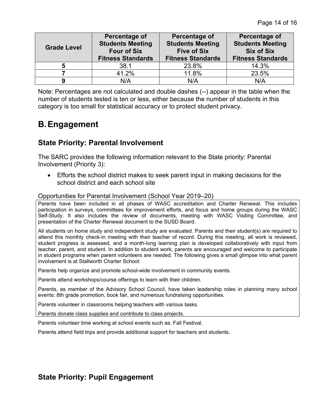| <b>Grade Level</b> | Percentage of<br><b>Students Meeting</b><br><b>Four of Six</b><br><b>Fitness Standards</b> | Percentage of<br><b>Students Meeting</b><br><b>Five of Six</b><br><b>Fitness Standards</b> | Percentage of<br><b>Students Meeting</b><br><b>Six of Six</b><br><b>Fitness Standards</b> |
|--------------------|--------------------------------------------------------------------------------------------|--------------------------------------------------------------------------------------------|-------------------------------------------------------------------------------------------|
|                    | 38.1                                                                                       | 23.8%                                                                                      | 14.3%                                                                                     |
|                    | 41.2%                                                                                      | 11.8%                                                                                      | 23.5%                                                                                     |
|                    | N/A                                                                                        | N/A                                                                                        | N/A                                                                                       |

Note: Percentages are not calculated and double dashes (--) appear in the table when the number of students tested is ten or less, either because the number of students in this category is too small for statistical accuracy or to protect student privacy.

# **B.Engagement**

## **State Priority: Parental Involvement**

The SARC provides the following information relevant to the State priority: Parental Involvement (Priority 3):

 Efforts the school district makes to seek parent input in making decisions for the school district and each school site

Opportunities for Parental Involvement (School Year 2019–20)

Parents have been included in all phases of WASC accreditation and Charter Renewal. This includes participation in surveys, committees for improvement efforts, and focus and home groups during the WASC Self-Study. It also includes the review of documents, meeting with WASC Visiting Committee, and presentation of the Charter Renewal document to the SUSD Board.

All students on home study and independent study are evaluated. Parents and their student(s) are required to attend this monthly check-in meeting with their teacher of record. During this meeting, all work is reviewed, student progress is assessed, and a month-long learning plan is developed collaboratively with input from teacher, parent, and student. In addition to student work, parents are encouraged and welcome to participate in student programs when parent volunteers are needed. The following gives a small glimpse into what parent involvement is at Stallworth Charter School:

Parents help organize and promote school-wide involvement in community events.

Parents attend workshops/course offerings to learn with their children.

Parents, as member of the Advisory School Council, have taken leadership roles in planning many school events: 8th grade promotion, book fair, and numerous fundraising opportunities.

Parents volunteer in classrooms helping teachers with various tasks.

Parents donate class supplies and contribute to class projects.

Parents volunteer time working at school events such as: Fall Festival.

Parents attend field trips and provide additional support for teachers and students.

## **State Priority: Pupil Engagement**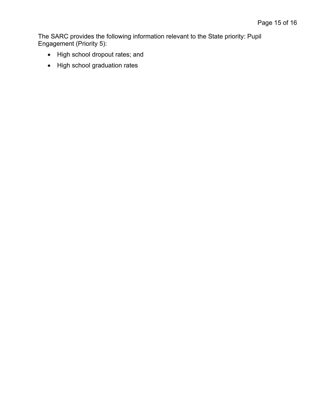The SARC provides the following information relevant to the State priority: Pupil Engagement (Priority 5):

- High school dropout rates; and
- High school graduation rates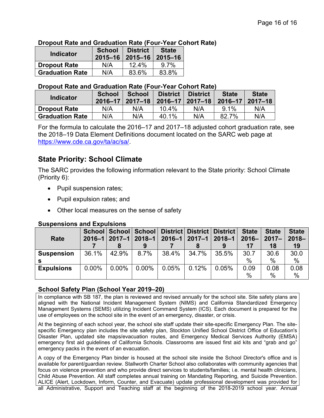#### **Dropout Rate and Graduation Rate (Four-Year Cohort Rate)**

| <b>Indicator</b>       | <b>School</b> | <b>District</b><br>2015-16   2015-16   2015-16 | <b>State</b> |
|------------------------|---------------|------------------------------------------------|--------------|
| <b>Dropout Rate</b>    | N/A           | 12.4%                                          | $9.7\%$      |
| <b>Graduation Rate</b> | N/A           | 83.6%                                          | 83.8%        |

#### **Dropout Rate and Graduation Rate (Four-Year Cohort Rate)**

|                  |                        | <b>School</b>         | <b>School</b> | <b>District</b>                       | <b>District</b> | <b>State</b> | <b>State</b> |
|------------------|------------------------|-----------------------|---------------|---------------------------------------|-----------------|--------------|--------------|
| <b>Indicator</b> |                        | $2016 - 17$   2017-18 |               | 2016–17   2017–18   2016–17   2017–18 |                 |              |              |
|                  | <b>Dropout Rate</b>    | N/A                   | N/A           | 10.4%                                 | N/A             | 9.1%         | N/A          |
|                  | <b>Graduation Rate</b> | N/A                   | N/A           | 40.1%                                 | N/A             | 82.7%        | N/A          |

For the formula to calculate the 2016–17 and 2017–18 adjusted cohort graduation rate, see the 2018–19 Data Element Definitions document located on the SARC web page at <https://www.cde.ca.gov/ta/ac/sa/>.

## **State Priority: School Climate**

The SARC provides the following information relevant to the State priority: School Climate (Priority 6):

- Pupil suspension rates;
- Pupil expulsion rates; and
- Other local measures on the sense of safety

#### **Rate 2016–1 2017–1 School School 7 8 School District District District 2018–1 2016–1 2017–1 2018–1 9 7 8 9 17 18 State 2016– 2017– State State 2018– 19 Suspension** 36.1% 42.9% 8.7% **s** 36.1% | 42.9% | 8.7% | 38.4% | 34.7% | 35.5% | 30.7 | 30.6 | 30.0 | % | % | % | 30.6 30.0 % % **Expulsions** | 0.00% | 0.00% | 0.00% | 0.05% | 0.12% | 0.05% | 0.09 | 0.08 | 0.08 | % | % | % | 0.08 0.08 % %

#### **Suspensions and Expulsions**

#### **School Safety Plan (School Year 2019–20)**

In compliance with SB 187, the plan is reviewed and revised annually for the school site. Site safety plans are aligned with the National Incident Management System (NIMS) and California Standardized Emergency Management Systems (SEMS) utilizing Incident Command System (ICS). Each document is prepared for the use of employees on the school site in the event of an emergency, disaster, or crisis.

At the beginning of each school year, the school site staff update their site-specific Emergency Plan. The sitespecific Emergency plan includes the site safety plan, Stockton Unified School District Office of Education's Disaster Plan, updated site maps/evacuation routes, and Emergency Medical Services Authority (EMSA) emergency first aid guidelines of California Schools. Classrooms are issued first aid kits and "grab and go" emergency packs in the event of an evacuation.

A copy of the Emergency Plan binder is housed at the school site inside the School Director's office and is available for parent/guardian review. Stallworth Charter School also collaborates with community agencies that focus on violence prevention and who provide direct services to students/families; i.e. mental health clinicians, Child Abuse Prevention. All staff completes annual training on Mandating Reporting, and Suicide Prevention. ALICE (Alert, Lockdown, Inform, Counter, and Evacuate) update professional development was provided for all Administrative, Support and Teaching staff at the beginning of the 2018-2019 school year. Annual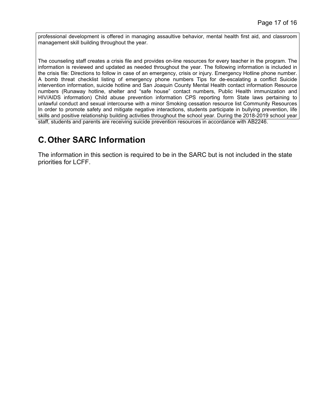professional development is offered in managing assaultive behavior, mental health first aid, and classroom management skill building throughout the year.

The counseling staff creates a crisis file and provides on-line resources for every teacher in the program. The information is reviewed and updated as needed throughout the year. The following information is included in the crisis file: Directions to follow in case of an emergency, crisis or injury. Emergency Hotline phone number. A bomb threat checklist listing of emergency phone numbers Tips for de-escalating a conflict Suicide intervention information, suicide hotline and San Joaquin County Mental Health contact information Resource numbers (Runaway hotline, shelter and "safe house" contact numbers, Public Health immunization and HIV/AIDS information) Child abuse prevention information CPS reporting form State laws pertaining to unlawful conduct and sexual intercourse with a minor Smoking cessation resource list Community Resources In order to promote safety and mitigate negative interactions, students participate in bullying prevention, life skills and positive relationship building activities throughout the school year. During the 2018-2019 school year staff, students and parents are receiving suicide prevention resources in accordance with AB2246.

# **C.Other SARC Information**

The information in this section is required to be in the SARC but is not included in the state priorities for LCFF.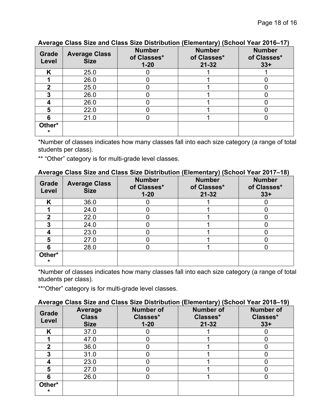| .                 |                                     |                                          |                                           |                                       |
|-------------------|-------------------------------------|------------------------------------------|-------------------------------------------|---------------------------------------|
| Grade<br>Level    | <b>Average Class</b><br><b>Size</b> | <b>Number</b><br>of Classes*<br>$1 - 20$ | <b>Number</b><br>of Classes*<br>$21 - 32$ | <b>Number</b><br>of Classes*<br>$33+$ |
| K                 | 25.0                                |                                          |                                           |                                       |
|                   | 26.0                                |                                          |                                           |                                       |
|                   | 25.0                                |                                          |                                           |                                       |
|                   | 26.0                                |                                          |                                           |                                       |
|                   | 26.0                                |                                          |                                           |                                       |
|                   | 22.0                                |                                          |                                           |                                       |
|                   | 21.0                                |                                          |                                           |                                       |
| Other*<br>$\star$ |                                     |                                          |                                           |                                       |

#### **Average Class Size and Class Size Distribution (Elementary) (School Year 2016–17)**

\*Number of classes indicates how many classes fall into each size category (a range of total students per class).

\*\* "Other" category is for multi-grade level classes.

# **Average Class Size and Class Size Distribution (Elementary) (School Year 2017–18)**

| Grade<br>Level    | <b>Average Class</b><br><b>Size</b> | <b>Number</b><br>of Classes*<br>$1 - 20$ | <b>Number</b><br>of Classes*<br>$21 - 32$ | <b>Number</b><br>of Classes*<br>$33+$ |
|-------------------|-------------------------------------|------------------------------------------|-------------------------------------------|---------------------------------------|
| K                 | 36.0                                |                                          |                                           |                                       |
|                   | 24.0                                |                                          |                                           |                                       |
|                   | 22.0                                |                                          |                                           |                                       |
|                   | 24.0                                |                                          |                                           |                                       |
|                   | 23.0                                |                                          |                                           |                                       |
|                   | 27.0                                |                                          |                                           |                                       |
|                   | 28.0                                |                                          |                                           |                                       |
| Other*<br>$\star$ |                                     |                                          |                                           |                                       |

\*Number of classes indicates how many classes fall into each size category (a range of total students per class).

\*\* "Other" category is for multi-grade level classes.

#### **Average Class Size and Class Size Distribution (Elementary) (School Year 2018–19)**

| Grade<br>Level    | <b>Average</b><br><b>Class</b><br><b>Size</b> | <b>Number of</b><br>Classes*<br>$1 - 20$ | <b>Number of</b><br>Classes*<br>$21 - 32$ | <b>Number of</b><br>Classes*<br>$33+$ |
|-------------------|-----------------------------------------------|------------------------------------------|-------------------------------------------|---------------------------------------|
| K                 | 37.0                                          |                                          |                                           |                                       |
|                   | 47.0                                          |                                          |                                           |                                       |
|                   | 36.0                                          |                                          |                                           |                                       |
|                   | 31.0                                          |                                          |                                           |                                       |
|                   | 23.0                                          |                                          |                                           |                                       |
|                   | 27.0                                          |                                          |                                           |                                       |
|                   | 26.0                                          |                                          |                                           |                                       |
| Other*<br>$\star$ |                                               |                                          |                                           |                                       |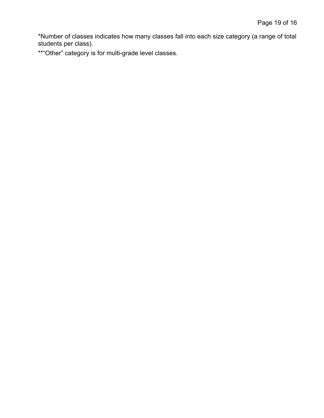\*Number of classes indicates how many classes fall into each size category (a range of total students per class).

\*\*"Other" category is for multi-grade level classes.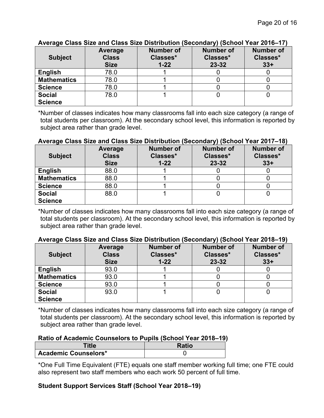| <b>Subject</b>     | Average<br><b>Class</b><br><b>Size</b> | <b>Number of</b><br>Classes*<br>$1 - 22$ | $\cdots$<br><b>Number of</b><br>Classes*<br>$23 - 32$ | <b>Number of</b><br>Classes*<br>$33+$ |
|--------------------|----------------------------------------|------------------------------------------|-------------------------------------------------------|---------------------------------------|
| <b>English</b>     | 78.0                                   |                                          |                                                       |                                       |
| <b>Mathematics</b> | 78.0                                   |                                          |                                                       |                                       |
| <b>Science</b>     | 78.0                                   |                                          |                                                       |                                       |
| <b>Social</b>      | 78.0                                   |                                          |                                                       |                                       |
| <b>Science</b>     |                                        |                                          |                                                       |                                       |

#### **Average Class Size and Class Size Distribution (Secondary) (School Year 2016–17)**

\*Number of classes indicates how many classrooms fall into each size category (a range of total students per classroom). At the secondary school level, this information is reported by subject area rather than grade level.

#### **Average Class Size and Class Size Distribution (Secondary) (School Year 2017–18)**

| <b>Subject</b>                  | Average<br><b>Class</b><br><b>Size</b> | <b>Number of</b><br>Classes*<br>$1 - 22$ | <b>Number of</b><br>Classes*<br>23-32 | <b>Number of</b><br>Classes*<br>$33+$ |
|---------------------------------|----------------------------------------|------------------------------------------|---------------------------------------|---------------------------------------|
| <b>English</b>                  | 88.0                                   |                                          |                                       |                                       |
| <b>Mathematics</b>              | 88.0                                   |                                          |                                       |                                       |
| <b>Science</b>                  | 88.0                                   |                                          |                                       |                                       |
| <b>Social</b><br><b>Science</b> | 88.0                                   |                                          |                                       |                                       |

\*Number of classes indicates how many classrooms fall into each size category (a range of total students per classroom). At the secondary school level, this information is reported by subject area rather than grade level.

#### **Average Class Size and Class Size Distribution (Secondary) (School Year 2018–19)**

| <b>Subject</b>     | Average<br><b>Class</b><br><b>Size</b> | <b>Number of</b><br>Classes*<br>$1 - 22$ | <b>Number of</b><br>Classes*<br>$23 - 32$ | <b>Number of</b><br>Classes*<br>$33+$ |  |
|--------------------|----------------------------------------|------------------------------------------|-------------------------------------------|---------------------------------------|--|
| <b>English</b>     | 93.0                                   |                                          |                                           |                                       |  |
| <b>Mathematics</b> | 93.0                                   |                                          |                                           |                                       |  |
| <b>Science</b>     | 93.0                                   |                                          |                                           |                                       |  |
| <b>Social</b>      | 93.0                                   |                                          |                                           |                                       |  |
| <b>Science</b>     |                                        |                                          |                                           |                                       |  |

\*Number of classes indicates how many classrooms fall into each size category (a range of total students per classroom). At the secondary school level, this information is reported by subject area rather than grade level.

#### **Ratio of Academic Counselors to Pupils (School Year 2018–19)**

| <b>Title</b>                | <b>Ratio</b> |
|-----------------------------|--------------|
| <b>Academic Counselors*</b> |              |

\*One Full Time Equivalent (FTE) equals one staff member working full time; one FTE could also represent two staff members who each work 50 percent of full time.

#### **Student Support Services Staff (School Year 2018–19)**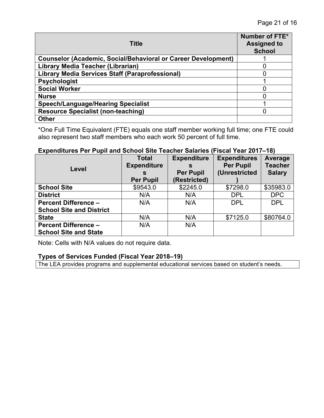| <b>Title</b>                                                         | Number of FTE*<br><b>Assigned to</b><br><b>School</b> |
|----------------------------------------------------------------------|-------------------------------------------------------|
| <b>Counselor (Academic, Social/Behavioral or Career Development)</b> |                                                       |
| Library Media Teacher (Librarian)                                    |                                                       |
| <b>Library Media Services Staff (Paraprofessional)</b>               |                                                       |
| <b>Psychologist</b>                                                  |                                                       |
| <b>Social Worker</b>                                                 |                                                       |
| <b>Nurse</b>                                                         |                                                       |
| <b>Speech/Language/Hearing Specialist</b>                            |                                                       |
| <b>Resource Specialist (non-teaching)</b>                            |                                                       |
| <b>Other</b>                                                         |                                                       |

\*One Full Time Equivalent (FTE) equals one staff member working full time; one FTE could also represent two staff members who each work 50 percent of full time.

#### **Expenditures Per Pupil and School Site Teacher Salaries (Fiscal Year 2017–18)**

|                                 | <b>Total</b>       | <b>Expenditure</b> | <b>Expenditures</b> | Average       |
|---------------------------------|--------------------|--------------------|---------------------|---------------|
| Level                           | <b>Expenditure</b> | S                  | <b>Per Pupil</b>    | Teacher       |
|                                 | S                  | <b>Per Pupil</b>   | (Unrestricted       | <b>Salary</b> |
|                                 | <b>Per Pupil</b>   | (Restricted)       |                     |               |
| <b>School Site</b>              | \$9543.0           | \$2245.0           | \$7298.0            | \$35983.0     |
| <b>District</b>                 | N/A                | N/A                | <b>DPL</b>          | DPC           |
| <b>Percent Difference -</b>     | N/A                | N/A                | <b>DPL</b>          | <b>DPL</b>    |
| <b>School Site and District</b> |                    |                    |                     |               |
| <b>State</b>                    | N/A                | N/A                | \$7125.0            | \$80764.0     |
| <b>Percent Difference -</b>     | N/A                | N/A                |                     |               |
| <b>School Site and State</b>    |                    |                    |                     |               |

Note: Cells with N/A values do not require data.

#### **Types of Services Funded (Fiscal Year 2018–19)**

The LEA provides programs and supplemental educational services based on student's needs.